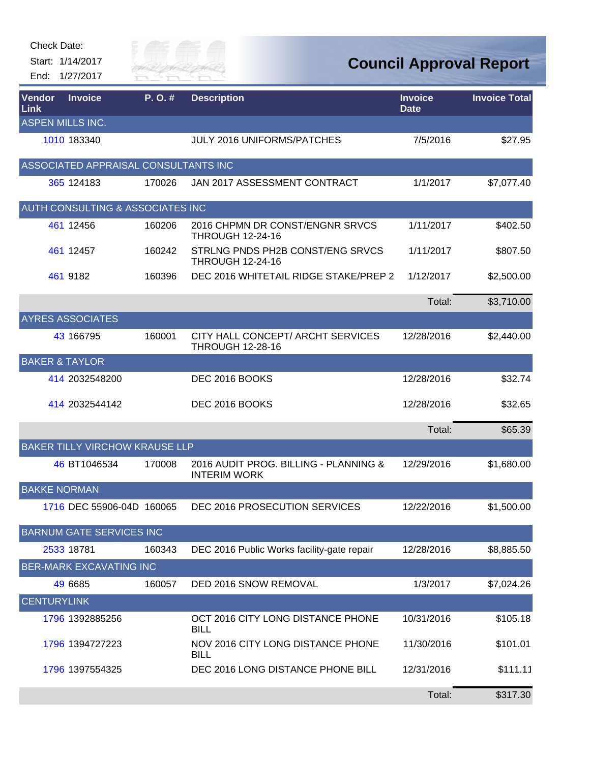Start: 1/14/2017 End: 1/27/2017



| Vendor<br><b>Link</b> | <b>Invoice</b>                              | P.O.#  | <b>Description</b>                                           | <b>Invoice</b><br><b>Date</b> | <b>Invoice Total</b> |
|-----------------------|---------------------------------------------|--------|--------------------------------------------------------------|-------------------------------|----------------------|
|                       | ASPEN MILLS INC.                            |        |                                                              |                               |                      |
|                       | 1010 183340                                 |        | <b>JULY 2016 UNIFORMS/PATCHES</b>                            | 7/5/2016                      | \$27.95              |
|                       | ASSOCIATED APPRAISAL CONSULTANTS INC        |        |                                                              |                               |                      |
|                       | 365 124183                                  | 170026 | JAN 2017 ASSESSMENT CONTRACT                                 | 1/1/2017                      | \$7,077.40           |
|                       | <b>AUTH CONSULTING &amp; ASSOCIATES INC</b> |        |                                                              |                               |                      |
|                       | 461 12456                                   | 160206 | 2016 CHPMN DR CONST/ENGNR SRVCS<br><b>THROUGH 12-24-16</b>   | 1/11/2017                     | \$402.50             |
|                       | 461 12457                                   | 160242 | STRLNG PNDS PH2B CONST/ENG SRVCS<br><b>THROUGH 12-24-16</b>  | 1/11/2017                     | \$807.50             |
|                       | 461 9182                                    | 160396 | DEC 2016 WHITETAIL RIDGE STAKE/PREP 2                        | 1/12/2017                     | \$2,500.00           |
|                       |                                             |        |                                                              | Total:                        | \$3,710.00           |
|                       | <b>AYRES ASSOCIATES</b>                     |        |                                                              |                               |                      |
|                       | 43 166795                                   | 160001 | CITY HALL CONCEPT/ ARCHT SERVICES<br><b>THROUGH 12-28-16</b> | 12/28/2016                    | \$2,440.00           |
|                       | <b>BAKER &amp; TAYLOR</b>                   |        |                                                              |                               |                      |
|                       | 414 2032548200                              |        | DEC 2016 BOOKS                                               | 12/28/2016                    | \$32.74              |
|                       | 414 2032544142                              |        | DEC 2016 BOOKS                                               | 12/28/2016                    | \$32.65              |
|                       |                                             |        |                                                              | Total:                        | \$65.39              |
|                       | <b>BAKER TILLY VIRCHOW KRAUSE LLP</b>       |        |                                                              |                               |                      |
|                       | 46 BT1046534                                | 170008 | 2016 AUDIT PROG. BILLING - PLANNING &<br><b>INTERIM WORK</b> | 12/29/2016                    | \$1,680.00           |
| <b>BAKKE NORMAN</b>   |                                             |        |                                                              |                               |                      |
|                       | 1716 DEC 55906-04D 160065                   |        | DEC 2016 PROSECUTION SERVICES                                | 12/22/2016                    | \$1,500.00           |
|                       | <b>BARNUM GATE SERVICES INC</b>             |        |                                                              |                               |                      |
|                       | 2533 18781                                  | 160343 | DEC 2016 Public Works facility-gate repair                   | 12/28/2016                    | \$8,885.50           |
|                       | <b>BER-MARK EXCAVATING INC</b>              |        |                                                              |                               |                      |
|                       | 49 6685                                     | 160057 | DED 2016 SNOW REMOVAL                                        | 1/3/2017                      | \$7,024.26           |
| <b>CENTURYLINK</b>    |                                             |        |                                                              |                               |                      |
|                       | 1796 1392885256                             |        | OCT 2016 CITY LONG DISTANCE PHONE<br><b>BILL</b>             | 10/31/2016                    | \$105.18             |
|                       | 1796 1394727223                             |        | NOV 2016 CITY LONG DISTANCE PHONE<br><b>BILL</b>             | 11/30/2016                    | \$101.01             |
|                       | 1796 1397554325                             |        | DEC 2016 LONG DISTANCE PHONE BILL                            | 12/31/2016                    | \$111.11             |
|                       |                                             |        |                                                              | Total:                        | \$317.30             |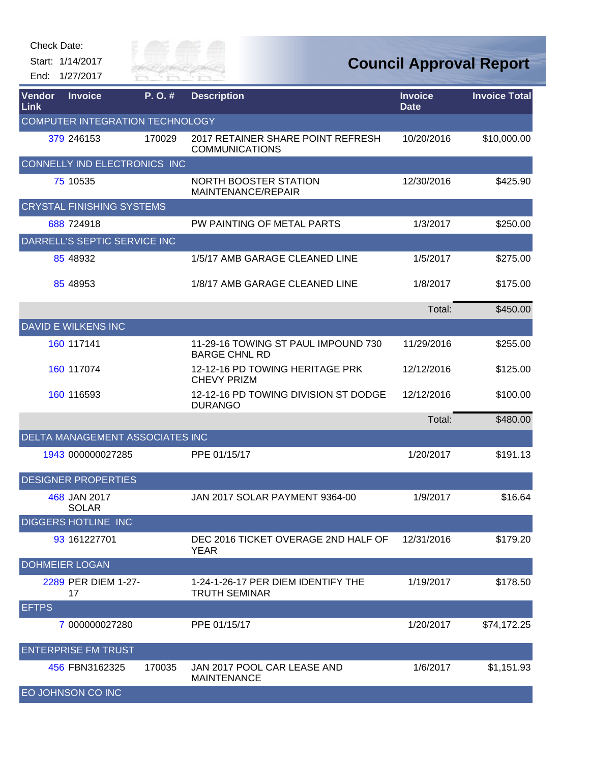| Check Date:                                    |                               |                                                             |                                |                      |
|------------------------------------------------|-------------------------------|-------------------------------------------------------------|--------------------------------|----------------------|
| Start: 1/14/2017<br>1/27/2017<br>End:          | illy of $\equiv$<br>KIVER FAI |                                                             | <b>Council Approval Report</b> |                      |
| <b>Vendor</b><br><b>Invoice</b><br><b>Link</b> | P.O.#                         | <b>Description</b>                                          | <b>Invoice</b><br><b>Date</b>  | <b>Invoice Total</b> |
| <b>COMPUTER INTEGRATION TECHNOLOGY</b>         |                               |                                                             |                                |                      |
| 379 246153                                     | 170029                        | 2017 RETAINER SHARE POINT REFRESH<br><b>COMMUNICATIONS</b>  | 10/20/2016                     | \$10,000.00          |
| CONNELLY IND ELECTRONICS INC                   |                               |                                                             |                                |                      |
| 75 10535                                       |                               | <b>NORTH BOOSTER STATION</b><br>MAINTENANCE/REPAIR          | 12/30/2016                     | \$425.90             |
| <b>CRYSTAL FINISHING SYSTEMS</b>               |                               |                                                             |                                |                      |
| 688 724918                                     |                               | PW PAINTING OF METAL PARTS                                  | 1/3/2017                       | \$250.00             |
| DARRELL'S SEPTIC SERVICE INC                   |                               |                                                             |                                |                      |
| 85 48932                                       |                               | 1/5/17 AMB GARAGE CLEANED LINE                              | 1/5/2017                       | \$275.00             |
| 85 48953                                       |                               | 1/8/17 AMB GARAGE CLEANED LINE                              | 1/8/2017                       | \$175.00             |
|                                                |                               |                                                             | Total:                         | \$450.00             |
| <b>DAVID E WILKENS INC</b>                     |                               |                                                             |                                |                      |
| 160 117141                                     |                               | 11-29-16 TOWING ST PAUL IMPOUND 730<br><b>BARGE CHNL RD</b> | 11/29/2016                     | \$255.00             |
| 160 117074                                     |                               | 12-12-16 PD TOWING HERITAGE PRK<br><b>CHEVY PRIZM</b>       | 12/12/2016                     | \$125.00             |
| 160 116593                                     |                               | 12-12-16 PD TOWING DIVISION ST DODGE<br><b>DURANGO</b>      | 12/12/2016                     | \$100.00             |
|                                                |                               |                                                             | Total:                         | \$480.00             |
| DELTA MANAGEMENT ASSOCIATES INC                |                               |                                                             |                                |                      |
| 1943 000000027285                              |                               | PPE 01/15/17                                                | 1/20/2017                      | \$191.13             |
| <b>DESIGNER PROPERTIES</b>                     |                               |                                                             |                                |                      |
| 468 JAN 2017<br><b>SOLAR</b>                   |                               | JAN 2017 SOLAR PAYMENT 9364-00                              | 1/9/2017                       | \$16.64              |
| <b>DIGGERS HOTLINE INC</b>                     |                               |                                                             |                                |                      |
| 93 161227701                                   |                               | DEC 2016 TICKET OVERAGE 2ND HALF OF<br><b>YEAR</b>          | 12/31/2016                     | \$179.20             |
| <b>DOHMEIER LOGAN</b>                          |                               |                                                             |                                |                      |
| 2289 PER DIEM 1-27-<br>17                      |                               | 1-24-1-26-17 PER DIEM IDENTIFY THE<br><b>TRUTH SEMINAR</b>  | 1/19/2017                      | \$178.50             |
| <b>EFTPS</b>                                   |                               |                                                             |                                |                      |
| 7 000000027280                                 |                               | PPE 01/15/17                                                | 1/20/2017                      | \$74,172.25          |
| <b>ENTERPRISE FM TRUST</b>                     |                               |                                                             |                                |                      |
| 456 FBN3162325                                 | 170035                        | JAN 2017 POOL CAR LEASE AND<br><b>MAINTENANCE</b>           | 1/6/2017                       | \$1,151.93           |
| EO JOHNSON CO INC                              |                               |                                                             |                                |                      |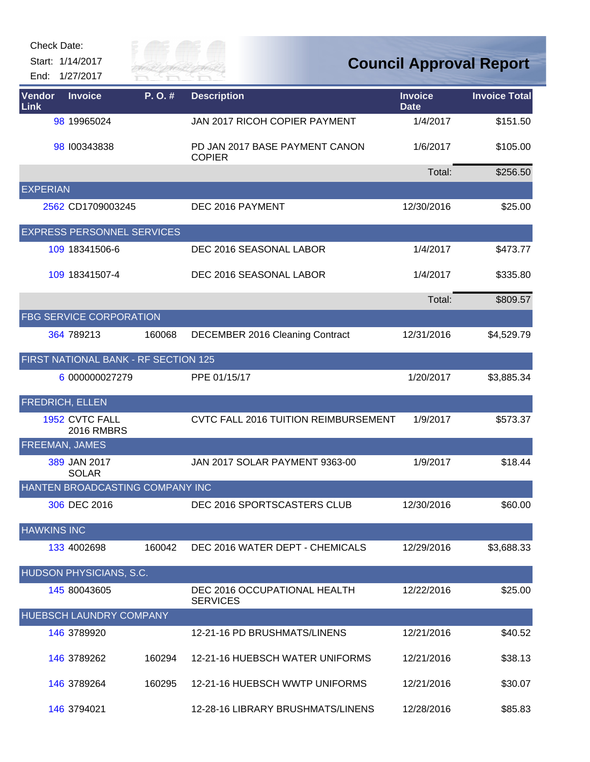| Check Date: |  |
|-------------|--|
|-------------|--|

Start: 1/14/2017

End: 1/27/2017



| <b>Vendor</b><br><b>Link</b> | <b>Invoice</b>                       | P.O.#  | <b>Description</b>                              | <b>Invoice</b><br><b>Date</b> | <b>Invoice Total</b> |
|------------------------------|--------------------------------------|--------|-------------------------------------------------|-------------------------------|----------------------|
|                              | 98 19965024                          |        | JAN 2017 RICOH COPIER PAYMENT                   | 1/4/2017                      | \$151.50             |
|                              | 98 100343838                         |        | PD JAN 2017 BASE PAYMENT CANON<br><b>COPIER</b> | 1/6/2017                      | \$105.00             |
|                              |                                      |        |                                                 | Total:                        | \$256.50             |
| <b>EXPERIAN</b>              |                                      |        |                                                 |                               |                      |
|                              | 2562 CD1709003245                    |        | DEC 2016 PAYMENT                                | 12/30/2016                    | \$25.00              |
|                              | <b>EXPRESS PERSONNEL SERVICES</b>    |        |                                                 |                               |                      |
|                              | 109 18341506-6                       |        | DEC 2016 SEASONAL LABOR                         | 1/4/2017                      | \$473.77             |
|                              | 109 18341507-4                       |        | DEC 2016 SEASONAL LABOR                         | 1/4/2017                      | \$335.80             |
|                              |                                      |        |                                                 | Total:                        | \$809.57             |
|                              | <b>FBG SERVICE CORPORATION</b>       |        |                                                 |                               |                      |
|                              | 364 789213                           | 160068 | DECEMBER 2016 Cleaning Contract                 | 12/31/2016                    | \$4,529.79           |
|                              | FIRST NATIONAL BANK - RF SECTION 125 |        |                                                 |                               |                      |
|                              | 6 000000027279                       |        | PPE 01/15/17                                    | 1/20/2017                     | \$3,885.34           |
|                              | <b>FREDRICH, ELLEN</b>               |        |                                                 |                               |                      |
|                              | 1952 CVTC FALL<br><b>2016 RMBRS</b>  |        | CVTC FALL 2016 TUITION REIMBURSEMENT            | 1/9/2017                      | \$573.37             |
|                              | FREEMAN, JAMES                       |        |                                                 |                               |                      |
|                              | 389 JAN 2017<br><b>SOLAR</b>         |        | JAN 2017 SOLAR PAYMENT 9363-00                  | 1/9/2017                      | \$18.44              |
|                              | HANTEN BROADCASTING COMPANY INC      |        |                                                 |                               |                      |
|                              | 306 DEC 2016                         |        | DEC 2016 SPORTSCASTERS CLUB                     | 12/30/2016                    | \$60.00              |
| <b>HAWKINS INC</b>           |                                      |        |                                                 |                               |                      |
|                              | 133 4002698                          | 160042 | DEC 2016 WATER DEPT - CHEMICALS                 | 12/29/2016                    | \$3,688.33           |
|                              | HUDSON PHYSICIANS, S.C.              |        |                                                 |                               |                      |
|                              | 145 80043605                         |        | DEC 2016 OCCUPATIONAL HEALTH<br><b>SERVICES</b> | 12/22/2016                    | \$25.00              |
|                              | HUEBSCH LAUNDRY COMPANY              |        |                                                 |                               |                      |
|                              | 146 3789920                          |        | 12-21-16 PD BRUSHMATS/LINENS                    | 12/21/2016                    | \$40.52              |
|                              | 146 3789262                          | 160294 | 12-21-16 HUEBSCH WATER UNIFORMS                 | 12/21/2016                    | \$38.13              |
|                              | 146 3789264                          | 160295 | 12-21-16 HUEBSCH WWTP UNIFORMS                  | 12/21/2016                    | \$30.07              |
|                              | 146 3794021                          |        | 12-28-16 LIBRARY BRUSHMATS/LINENS               | 12/28/2016                    | \$85.83              |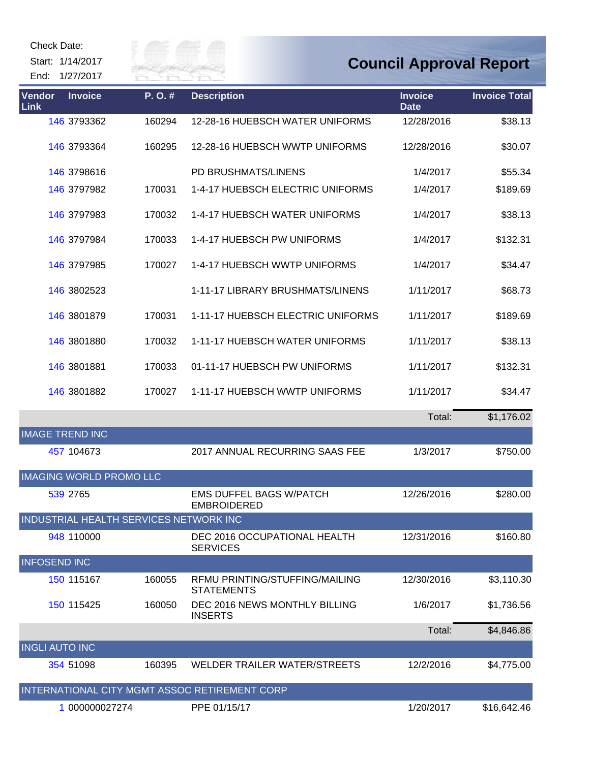Start: 1/14/2017





| Vendor<br><b>Link</b>  | <b>Invoice</b>                         | P.O.#  | <b>Description</b>                                   | <b>Invoice</b><br><b>Date</b> | <b>Invoice Total</b> |
|------------------------|----------------------------------------|--------|------------------------------------------------------|-------------------------------|----------------------|
|                        | 146 3793362                            | 160294 | 12-28-16 HUEBSCH WATER UNIFORMS                      | 12/28/2016                    | \$38.13              |
|                        | 146 3793364                            | 160295 | 12-28-16 HUEBSCH WWTP UNIFORMS                       | 12/28/2016                    | \$30.07              |
|                        | 146 3798616                            |        | PD BRUSHMATS/LINENS                                  | 1/4/2017                      | \$55.34              |
|                        | 146 3797982                            | 170031 | 1-4-17 HUEBSCH ELECTRIC UNIFORMS                     | 1/4/2017                      | \$189.69             |
|                        | 146 3797983                            | 170032 | 1-4-17 HUEBSCH WATER UNIFORMS                        | 1/4/2017                      | \$38.13              |
|                        | 146 3797984                            | 170033 | 1-4-17 HUEBSCH PW UNIFORMS                           | 1/4/2017                      | \$132.31             |
|                        | 146 3797985                            | 170027 | 1-4-17 HUEBSCH WWTP UNIFORMS                         | 1/4/2017                      | \$34.47              |
|                        | 146 3802523                            |        | 1-11-17 LIBRARY BRUSHMATS/LINENS                     | 1/11/2017                     | \$68.73              |
|                        | 146 3801879                            | 170031 | 1-11-17 HUEBSCH ELECTRIC UNIFORMS                    | 1/11/2017                     | \$189.69             |
|                        | 146 3801880                            | 170032 | 1-11-17 HUEBSCH WATER UNIFORMS                       | 1/11/2017                     | \$38.13              |
|                        | 146 3801881                            | 170033 | 01-11-17 HUEBSCH PW UNIFORMS                         | 1/11/2017                     | \$132.31             |
|                        | 146 3801882                            | 170027 | 1-11-17 HUEBSCH WWTP UNIFORMS                        | 1/11/2017                     | \$34.47              |
|                        |                                        |        |                                                      | Total:                        | \$1,176.02           |
| <b>IMAGE TREND INC</b> |                                        |        |                                                      |                               |                      |
|                        | 457 104673                             |        | 2017 ANNUAL RECURRING SAAS FEE                       | 1/3/2017                      | \$750.00             |
|                        | <b>IMAGING WORLD PROMO LLC</b>         |        |                                                      |                               |                      |
|                        | 539 2765                               |        | <b>EMS DUFFEL BAGS W/PATCH</b><br><b>EMBROIDERED</b> | 12/26/2016                    | \$280.00             |
|                        | INDUSTRIAL HEALTH SERVICES NETWORK INC |        |                                                      |                               |                      |
|                        | 948 110000                             |        | DEC 2016 OCCUPATIONAL HEALTH<br><b>SERVICES</b>      | 12/31/2016                    | \$160.80             |
| <b>INFOSEND INC</b>    |                                        |        |                                                      |                               |                      |
|                        | 150 115167                             | 160055 | RFMU PRINTING/STUFFING/MAILING<br><b>STATEMENTS</b>  | 12/30/2016                    | \$3,110.30           |
|                        | 150 115425                             | 160050 | DEC 2016 NEWS MONTHLY BILLING<br><b>INSERTS</b>      | 1/6/2017                      | \$1,736.56           |
|                        |                                        |        |                                                      | Total:                        | \$4,846.86           |
| <b>INGLI AUTO INC</b>  |                                        |        |                                                      |                               |                      |
|                        | 354 51098                              | 160395 | WELDER TRAILER WATER/STREETS                         | 12/2/2016                     | \$4,775.00           |
|                        |                                        |        | INTERNATIONAL CITY MGMT ASSOC RETIREMENT CORP        |                               |                      |
|                        | 1 000000027274                         |        | PPE 01/15/17                                         | 1/20/2017                     | \$16,642.46          |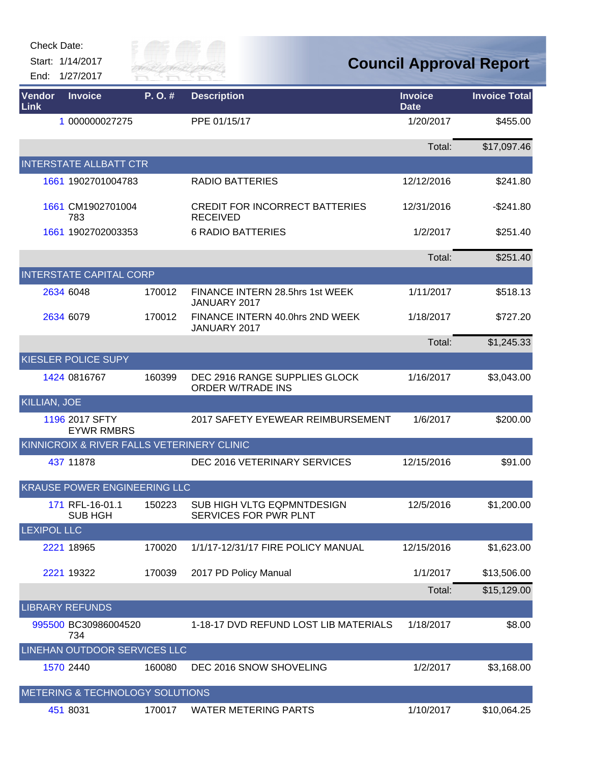| Check Date: |
|-------------|
|-------------|

Start: 1/14/2017 End: 1/27/2017



| Vendor<br>Link      | <b>Invoice</b>                             | P.O.#  | <b>Description</b>                                        | <b>Invoice</b><br><b>Date</b> | <b>Invoice Total</b> |
|---------------------|--------------------------------------------|--------|-----------------------------------------------------------|-------------------------------|----------------------|
|                     | 1 000000027275                             |        | PPE 01/15/17                                              | 1/20/2017                     | \$455.00             |
|                     |                                            |        |                                                           | Total:                        | \$17,097.46          |
|                     | <b>INTERSTATE ALLBATT CTR</b>              |        |                                                           |                               |                      |
|                     | 1661 1902701004783                         |        | <b>RADIO BATTERIES</b>                                    | 12/12/2016                    | \$241.80             |
|                     | 1661 CM1902701004<br>783                   |        | <b>CREDIT FOR INCORRECT BATTERIES</b><br><b>RECEIVED</b>  | 12/31/2016                    | $-$241.80$           |
|                     | 1661 1902702003353                         |        | <b>6 RADIO BATTERIES</b>                                  | 1/2/2017                      | \$251.40             |
|                     |                                            |        |                                                           | Total:                        | \$251.40             |
|                     | <b>INTERSTATE CAPITAL CORP</b>             |        |                                                           |                               |                      |
|                     | 2634 6048                                  | 170012 | FINANCE INTERN 28.5hrs 1st WEEK<br>JANUARY 2017           | 1/11/2017                     | \$518.13             |
|                     | 2634 6079                                  | 170012 | FINANCE INTERN 40.0hrs 2ND WEEK<br>JANUARY 2017           | 1/18/2017                     | \$727.20             |
|                     |                                            |        |                                                           | Total:                        | \$1,245.33           |
|                     | <b>KIESLER POLICE SUPY</b>                 |        |                                                           |                               |                      |
|                     | 1424 0816767                               | 160399 | DEC 2916 RANGE SUPPLIES GLOCK<br><b>ORDER W/TRADE INS</b> | 1/16/2017                     | \$3,043.00           |
| <b>KILLIAN, JOE</b> |                                            |        |                                                           |                               |                      |
|                     | 1196 2017 SFTY<br><b>EYWR RMBRS</b>        |        | 2017 SAFETY EYEWEAR REIMBURSEMENT                         | 1/6/2017                      | \$200.00             |
|                     | KINNICROIX & RIVER FALLS VETERINERY CLINIC |        |                                                           |                               |                      |
|                     | 437 11878                                  |        | DEC 2016 VETERINARY SERVICES                              | 12/15/2016                    | \$91.00              |
|                     | <b>KRAUSE POWER ENGINEERING LLC</b>        |        |                                                           |                               |                      |
|                     | 171 RFL-16-01.1<br><b>SUB HGH</b>          | 150223 | SUB HIGH VLTG EQPMNTDESIGN<br>SERVICES FOR PWR PLNT       | 12/5/2016                     | \$1,200.00           |
| <b>LEXIPOL LLC</b>  |                                            |        |                                                           |                               |                      |
|                     | 2221 18965                                 | 170020 | 1/1/17-12/31/17 FIRE POLICY MANUAL                        | 12/15/2016                    | \$1,623.00           |
|                     | 2221 19322                                 | 170039 | 2017 PD Policy Manual                                     | 1/1/2017                      | \$13,506.00          |
|                     |                                            |        |                                                           | Total:                        | \$15,129.00          |
|                     | <b>LIBRARY REFUNDS</b>                     |        |                                                           |                               |                      |
|                     | 995500 BC30986004520<br>734                |        | 1-18-17 DVD REFUND LOST LIB MATERIALS                     | 1/18/2017                     | \$8.00               |
|                     | LINEHAN OUTDOOR SERVICES LLC               |        |                                                           |                               |                      |
|                     | 1570 2440                                  | 160080 | DEC 2016 SNOW SHOVELING                                   | 1/2/2017                      | \$3,168.00           |
|                     | METERING & TECHNOLOGY SOLUTIONS            |        |                                                           |                               |                      |
|                     | 451 8031                                   | 170017 | <b>WATER METERING PARTS</b>                               | 1/10/2017                     | \$10,064.25          |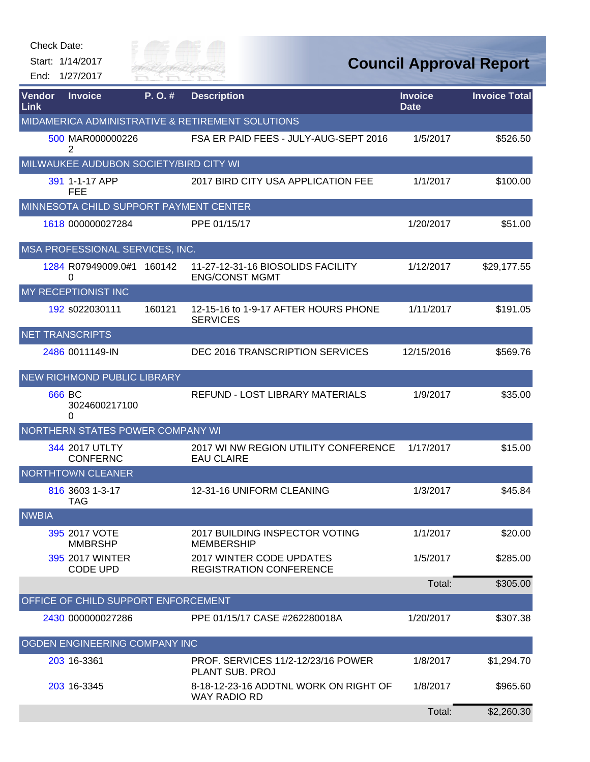| Check Date:           |                                               |                       |                                                              |                               |                                |
|-----------------------|-----------------------------------------------|-----------------------|--------------------------------------------------------------|-------------------------------|--------------------------------|
|                       | Start: 1/14/2017<br>End: 1/27/2017            | Rilly of<br>RIVER FAI |                                                              |                               | <b>Council Approval Report</b> |
| Vendor<br><b>Link</b> | <b>Invoice</b>                                | P.O.#                 | <b>Description</b>                                           | <b>Invoice</b><br><b>Date</b> | <b>Invoice Total</b>           |
|                       |                                               |                       | MIDAMERICA ADMINISTRATIVE & RETIREMENT SOLUTIONS             |                               |                                |
|                       | 500 MAR000000226<br>2                         |                       | FSA ER PAID FEES - JULY-AUG-SEPT 2016                        | 1/5/2017                      | \$526.50                       |
|                       | MILWAUKEE AUDUBON SOCIETY/BIRD CITY WI        |                       |                                                              |                               |                                |
|                       | 391 1-1-17 APP<br>FEE                         |                       | 2017 BIRD CITY USA APPLICATION FEE                           | 1/1/2017                      | \$100.00                       |
|                       | <b>MINNESOTA CHILD SUPPORT PAYMENT CENTER</b> |                       |                                                              |                               |                                |
|                       | 1618 000000027284                             |                       | PPE 01/15/17                                                 | 1/20/2017                     | \$51.00                        |
|                       | MSA PROFESSIONAL SERVICES, INC.               |                       |                                                              |                               |                                |
|                       | 1284 R07949009.0#1<br>0                       | 160142                | 11-27-12-31-16 BIOSOLIDS FACILITY<br><b>ENG/CONST MGMT</b>   | 1/12/2017                     | \$29,177.55                    |
|                       | MY RECEPTIONIST INC                           |                       |                                                              |                               |                                |
|                       | 192 s022030111                                | 160121                | 12-15-16 to 1-9-17 AFTER HOURS PHONE<br><b>SERVICES</b>      | 1/11/2017                     | \$191.05                       |
|                       | <b>NET TRANSCRIPTS</b>                        |                       |                                                              |                               |                                |
|                       | 2486 0011149-IN                               |                       | DEC 2016 TRANSCRIPTION SERVICES                              | 12/15/2016                    | \$569.76                       |
|                       | NEW RICHMOND PUBLIC LIBRARY                   |                       |                                                              |                               |                                |
|                       | 666 BC<br>3024600217100<br>0                  |                       | REFUND - LOST LIBRARY MATERIALS                              | 1/9/2017                      | \$35.00                        |
|                       | NORTHERN STATES POWER COMPANY WI              |                       |                                                              |                               |                                |
|                       | 344 2017 UTLTY<br><b>CONFERNC</b>             |                       | 2017 WI NW REGION UTILITY CONFERENCE<br><b>EAU CLAIRE</b>    | 1/17/2017                     | \$15.00                        |
|                       | <b>NORTHTOWN CLEANER</b>                      |                       |                                                              |                               |                                |
|                       | 816 3603 1-3-17<br><b>TAG</b>                 |                       | 12-31-16 UNIFORM CLEANING                                    | 1/3/2017                      | \$45.84                        |
| <b>NWBIA</b>          |                                               |                       |                                                              |                               |                                |
|                       | 395 2017 VOTE<br><b>MMBRSHP</b>               |                       | 2017 BUILDING INSPECTOR VOTING<br><b>MEMBERSHIP</b>          | 1/1/2017                      | \$20.00                        |
|                       | 395 2017 WINTER<br><b>CODE UPD</b>            |                       | 2017 WINTER CODE UPDATES<br><b>REGISTRATION CONFERENCE</b>   | 1/5/2017                      | \$285.00                       |
|                       |                                               |                       |                                                              | Total:                        | \$305.00                       |
|                       | OFFICE OF CHILD SUPPORT ENFORCEMENT           |                       |                                                              |                               |                                |
|                       | 2430 000000027286                             |                       | PPE 01/15/17 CASE #262280018A                                | 1/20/2017                     | \$307.38                       |
|                       | OGDEN ENGINEERING COMPANY INC                 |                       |                                                              |                               |                                |
|                       | 203 16-3361                                   |                       | <b>PROF. SERVICES 11/2-12/23/16 POWER</b><br>PLANT SUB. PROJ | 1/8/2017                      | \$1,294.70                     |
|                       | 203 16-3345                                   |                       | 8-18-12-23-16 ADDTNL WORK ON RIGHT OF<br><b>WAY RADIO RD</b> | 1/8/2017                      | \$965.60                       |
|                       |                                               |                       |                                                              | Total:                        | \$2,260.30                     |

**ANTIFACTOR**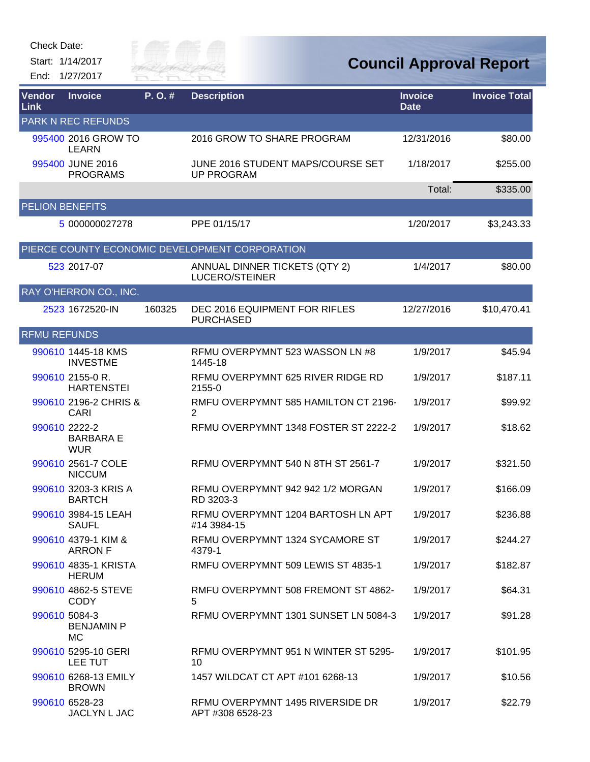Start: 1/14/2017 End: 1/27/2017



| Vendor<br>Link         | <b>Invoice</b>                                  | P. O. # | <b>Description</b>                                     | <b>Invoice</b><br><b>Date</b> | <b>Invoice Total</b> |
|------------------------|-------------------------------------------------|---------|--------------------------------------------------------|-------------------------------|----------------------|
|                        | <b>PARK N REC REFUNDS</b>                       |         |                                                        |                               |                      |
|                        | 995400 2016 GROW TO<br><b>LEARN</b>             |         | 2016 GROW TO SHARE PROGRAM                             | 12/31/2016                    | \$80.00              |
|                        | 995400 JUNE 2016<br><b>PROGRAMS</b>             |         | JUNE 2016 STUDENT MAPS/COURSE SET<br><b>UP PROGRAM</b> | 1/18/2017                     | \$255.00             |
|                        |                                                 |         |                                                        | Total:                        | \$335.00             |
| <b>PELION BENEFITS</b> |                                                 |         |                                                        |                               |                      |
|                        | 5 000000027278                                  |         | PPE 01/15/17                                           | 1/20/2017                     | \$3,243.33           |
|                        |                                                 |         | PIERCE COUNTY ECONOMIC DEVELOPMENT CORPORATION         |                               |                      |
|                        | 523 2017-07                                     |         | ANNUAL DINNER TICKETS (QTY 2)<br>LUCERO/STEINER        | 1/4/2017                      | \$80.00              |
|                        | RAY O'HERRON CO., INC.                          |         |                                                        |                               |                      |
|                        | 2523 1672520-IN                                 | 160325  | DEC 2016 EQUIPMENT FOR RIFLES<br><b>PURCHASED</b>      | 12/27/2016                    | \$10,470.41          |
| <b>RFMU REFUNDS</b>    |                                                 |         |                                                        |                               |                      |
|                        | 990610 1445-18 KMS<br><b>INVESTME</b>           |         | RFMU OVERPYMNT 523 WASSON LN #8<br>1445-18             | 1/9/2017                      | \$45.94              |
|                        | 990610 2155-0 R.<br><b>HARTENSTEI</b>           |         | RFMU OVERPYMNT 625 RIVER RIDGE RD<br>2155-0            | 1/9/2017                      | \$187.11             |
|                        | 990610 2196-2 CHRIS &<br>CARI                   |         | RMFU OVERPYMNT 585 HAMILTON CT 2196-<br>2              | 1/9/2017                      | \$99.92              |
|                        | 990610 2222-2<br><b>BARBARA E</b><br><b>WUR</b> |         | RFMU OVERPYMNT 1348 FOSTER ST 2222-2                   | 1/9/2017                      | \$18.62              |
|                        | 990610 2561-7 COLE<br><b>NICCUM</b>             |         | RFMU OVERPYMNT 540 N 8TH ST 2561-7                     | 1/9/2017                      | \$321.50             |
|                        | 990610 3203-3 KRIS A<br><b>BARTCH</b>           |         | RFMU OVERPYMNT 942 942 1/2 MORGAN<br>RD 3203-3         | 1/9/2017                      | \$166.09             |
|                        | 990610 3984-15 LEAH<br><b>SAUFL</b>             |         | RFMU OVERPYMNT 1204 BARTOSH LN APT<br>#14 3984-15      | 1/9/2017                      | \$236.88             |
|                        | 990610 4379-1 KIM &<br><b>ARRON F</b>           |         | RFMU OVERPYMNT 1324 SYCAMORE ST<br>4379-1              | 1/9/2017                      | \$244.27             |
|                        | 990610 4835-1 KRISTA<br><b>HERUM</b>            |         | RMFU OVERPYMNT 509 LEWIS ST 4835-1                     | 1/9/2017                      | \$182.87             |
|                        | 990610 4862-5 STEVE<br><b>CODY</b>              |         | RMFU OVERPYMNT 508 FREMONT ST 4862-<br>5               | 1/9/2017                      | \$64.31              |
|                        | 990610 5084-3<br><b>BENJAMIN P</b><br><b>MC</b> |         | RFMU OVERPYMNT 1301 SUNSET LN 5084-3                   | 1/9/2017                      | \$91.28              |
|                        | 990610 5295-10 GERI<br>LEE TUT                  |         | RFMU OVERPYMNT 951 N WINTER ST 5295-<br>10             | 1/9/2017                      | \$101.95             |
|                        | 990610 6268-13 EMILY<br><b>BROWN</b>            |         | 1457 WILDCAT CT APT #101 6268-13                       | 1/9/2017                      | \$10.56              |
|                        | 990610 6528-23<br>JACLYN L JAC                  |         | RFMU OVERPYMNT 1495 RIVERSIDE DR<br>APT #308 6528-23   | 1/9/2017                      | \$22.79              |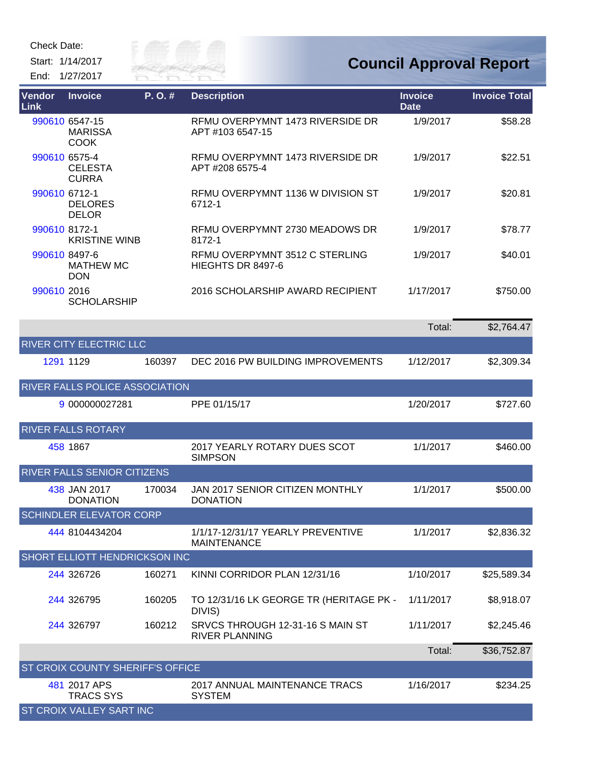Start: 1/14/2017 End: 1/27/2017



| Vendor<br>Link | <b>Invoice</b>                                  | P.O.#  | <b>Description</b>                                        | <b>Invoice</b><br><b>Date</b> | <b>Invoice Total</b> |
|----------------|-------------------------------------------------|--------|-----------------------------------------------------------|-------------------------------|----------------------|
|                | 990610 6547-15<br><b>MARISSA</b><br><b>COOK</b> |        | RFMU OVERPYMNT 1473 RIVERSIDE DR<br>APT #103 6547-15      | 1/9/2017                      | \$58.28              |
|                | 990610 6575-4<br><b>CELESTA</b><br><b>CURRA</b> |        | RFMU OVERPYMNT 1473 RIVERSIDE DR<br>APT #208 6575-4       | 1/9/2017                      | \$22.51              |
| 990610 6712-1  | <b>DELORES</b><br><b>DELOR</b>                  |        | RFMU OVERPYMNT 1136 W DIVISION ST<br>6712-1               | 1/9/2017                      | \$20.81              |
| 990610 8172-1  | <b>KRISTINE WINB</b>                            |        | RFMU OVERPYMNT 2730 MEADOWS DR<br>8172-1                  | 1/9/2017                      | \$78.77              |
|                | 990610 8497-6<br><b>MATHEW MC</b><br><b>DON</b> |        | RFMU OVERPYMNT 3512 C STERLING<br>HIEGHTS DR 8497-6       | 1/9/2017                      | \$40.01              |
| 990610 2016    | <b>SCHOLARSHIP</b>                              |        | 2016 SCHOLARSHIP AWARD RECIPIENT                          | 1/17/2017                     | \$750.00             |
|                |                                                 |        |                                                           | Total:                        | \$2,764.47           |
|                | <b>RIVER CITY ELECTRIC LLC</b>                  |        |                                                           |                               |                      |
|                | 1291 1129                                       | 160397 | DEC 2016 PW BUILDING IMPROVEMENTS                         | 1/12/2017                     | \$2,309.34           |
|                | RIVER FALLS POLICE ASSOCIATION                  |        |                                                           |                               |                      |
|                | 9 000000027281                                  |        | PPE 01/15/17                                              | 1/20/2017                     | \$727.60             |
|                | <b>RIVER FALLS ROTARY</b>                       |        |                                                           |                               |                      |
|                | 458 1867                                        |        | 2017 YEARLY ROTARY DUES SCOT<br><b>SIMPSON</b>            | 1/1/2017                      | \$460.00             |
|                | RIVER FALLS SENIOR CITIZENS                     |        |                                                           |                               |                      |
|                | 438 JAN 2017<br><b>DONATION</b>                 | 170034 | JAN 2017 SENIOR CITIZEN MONTHLY<br><b>DONATION</b>        | 1/1/2017                      | \$500.00             |
|                | SCHINDLER ELEVATOR CORP                         |        |                                                           |                               |                      |
|                | 444 8104434204                                  |        | 1/1/17-12/31/17 YEARLY PREVENTIVE<br><b>MAINTENANCE</b>   | 1/1/2017                      | \$2,836.32           |
|                | <b>SHORT ELLIOTT HENDRICKSON INC</b>            |        |                                                           |                               |                      |
|                | 244 326726                                      | 160271 | KINNI CORRIDOR PLAN 12/31/16                              | 1/10/2017                     | \$25,589.34          |
|                | 244 326795                                      | 160205 | TO 12/31/16 LK GEORGE TR (HERITAGE PK -<br>DIVIS)         | 1/11/2017                     | \$8,918.07           |
|                | 244 326797                                      | 160212 | SRVCS THROUGH 12-31-16 S MAIN ST<br><b>RIVER PLANNING</b> | 1/11/2017                     | \$2,245.46           |
|                |                                                 |        |                                                           | Total:                        | \$36,752.87          |
|                | ST CROIX COUNTY SHERIFF'S OFFICE                |        |                                                           |                               |                      |
|                | 481 2017 APS<br><b>TRACS SYS</b>                |        | 2017 ANNUAL MAINTENANCE TRACS<br><b>SYSTEM</b>            | 1/16/2017                     | \$234.25             |
|                | ST CROIX VALLEY SART INC                        |        |                                                           |                               |                      |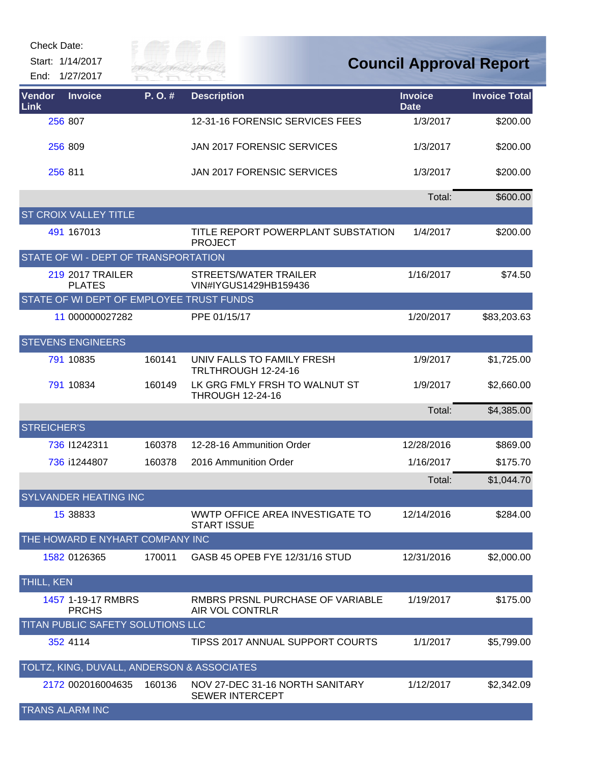Start: 1/14/2017

End: 1/27/2017



| Vendor<br>Link | <b>Invoice</b>                             | P.O.#  | <b>Description</b>                                        | <b>Invoice</b><br><b>Date</b> | <b>Invoice Total</b> |
|----------------|--------------------------------------------|--------|-----------------------------------------------------------|-------------------------------|----------------------|
|                | 256 807                                    |        | 12-31-16 FORENSIC SERVICES FEES                           | 1/3/2017                      | \$200.00             |
|                | 256 809                                    |        | JAN 2017 FORENSIC SERVICES                                | 1/3/2017                      | \$200.00             |
|                | 256 811                                    |        | JAN 2017 FORENSIC SERVICES                                | 1/3/2017                      | \$200.00             |
|                |                                            |        |                                                           | Total:                        | \$600.00             |
|                | <b>ST CROIX VALLEY TITLE</b>               |        |                                                           |                               |                      |
|                | 491 167013                                 |        | TITLE REPORT POWERPLANT SUBSTATION<br><b>PROJECT</b>      | 1/4/2017                      | \$200.00             |
|                | STATE OF WI - DEPT OF TRANSPORTATION       |        |                                                           |                               |                      |
|                | <b>219 2017 TRAILER</b><br><b>PLATES</b>   |        | STREETS/WATER TRAILER<br>VIN#IYGUS1429HB159436            | 1/16/2017                     | \$74.50              |
|                | STATE OF WI DEPT OF EMPLOYEE TRUST FUNDS   |        |                                                           |                               |                      |
|                | 11 000000027282                            |        | PPE 01/15/17                                              | 1/20/2017                     | \$83,203.63          |
|                | <b>STEVENS ENGINEERS</b>                   |        |                                                           |                               |                      |
|                | 791 10835                                  | 160141 | UNIV FALLS TO FAMILY FRESH<br>TRLTHROUGH 12-24-16         | 1/9/2017                      | \$1,725.00           |
|                | 791 10834                                  | 160149 | LK GRG FMLY FRSH TO WALNUT ST<br><b>THROUGH 12-24-16</b>  | 1/9/2017                      | \$2,660.00           |
|                |                                            |        |                                                           | Total:                        | \$4,385.00           |
|                | <b>STREICHER'S</b>                         |        |                                                           |                               |                      |
|                | 736 11242311                               | 160378 | 12-28-16 Ammunition Order                                 | 12/28/2016                    | \$869.00             |
|                | 736 i1244807                               | 160378 | 2016 Ammunition Order                                     | 1/16/2017                     | \$175.70             |
|                |                                            |        |                                                           | Total:                        | \$1,044.70           |
|                | <b>SYLVANDER HEATING INC</b>               |        |                                                           |                               |                      |
|                | 15 38833                                   |        | WWTP OFFICE AREA INVESTIGATE TO<br><b>START ISSUE</b>     | 12/14/2016                    | \$284.00             |
|                | THE HOWARD E NYHART COMPANY INC            |        |                                                           |                               |                      |
|                | 1582 0126365                               | 170011 | GASB 45 OPEB FYE 12/31/16 STUD                            | 12/31/2016                    | \$2,000.00           |
| THILL, KEN     |                                            |        |                                                           |                               |                      |
|                | 1457 1-19-17 RMBRS<br><b>PRCHS</b>         |        | RMBRS PRSNL PURCHASE OF VARIABLE<br>AIR VOL CONTRLR       | 1/19/2017                     | \$175.00             |
|                | TITAN PUBLIC SAFETY SOLUTIONS LLC          |        |                                                           |                               |                      |
|                | 352 4114                                   |        | TIPSS 2017 ANNUAL SUPPORT COURTS                          | 1/1/2017                      | \$5,799.00           |
|                | TOLTZ, KING, DUVALL, ANDERSON & ASSOCIATES |        |                                                           |                               |                      |
|                | 2172 002016004635                          | 160136 | NOV 27-DEC 31-16 NORTH SANITARY<br><b>SEWER INTERCEPT</b> | 1/12/2017                     | \$2,342.09           |
|                | <b>TRANS ALARM INC</b>                     |        |                                                           |                               |                      |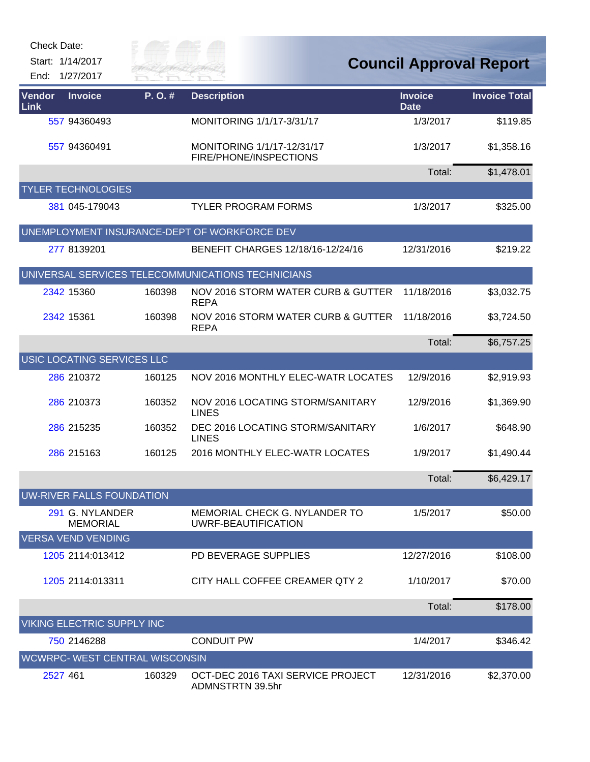Start: 1/14/2017 End: 1/27/2017



| <b>Vendor</b><br>Link                             | <b>Invoice</b>                        | P.O.#  | <b>Description</b>                                    | <b>Invoice</b><br><b>Date</b> | <b>Invoice Total</b> |  |  |  |  |  |
|---------------------------------------------------|---------------------------------------|--------|-------------------------------------------------------|-------------------------------|----------------------|--|--|--|--|--|
|                                                   | 557 94360493                          |        | MONITORING 1/1/17-3/31/17                             | 1/3/2017                      | \$119.85             |  |  |  |  |  |
|                                                   | 557 94360491                          |        | MONITORING 1/1/17-12/31/17<br>FIRE/PHONE/INSPECTIONS  | 1/3/2017                      | \$1,358.16           |  |  |  |  |  |
|                                                   |                                       |        |                                                       | Total:                        | \$1,478.01           |  |  |  |  |  |
|                                                   | <b>YLER TECHNOLOGIES</b>              |        |                                                       |                               |                      |  |  |  |  |  |
|                                                   | 381 045-179043                        |        | <b>TYLER PROGRAM FORMS</b>                            | 1/3/2017                      | \$325.00             |  |  |  |  |  |
|                                                   |                                       |        | UNEMPLOYMENT INSURANCE-DEPT OF WORKFORCE DEV          |                               |                      |  |  |  |  |  |
|                                                   | 277 8139201                           |        | BENEFIT CHARGES 12/18/16-12/24/16                     | 12/31/2016                    | \$219.22             |  |  |  |  |  |
| UNIVERSAL SERVICES TELECOMMUNICATIONS TECHNICIANS |                                       |        |                                                       |                               |                      |  |  |  |  |  |
|                                                   | 2342 15360                            | 160398 | NOV 2016 STORM WATER CURB & GUTTER<br><b>REPA</b>     | 11/18/2016                    | \$3,032.75           |  |  |  |  |  |
|                                                   | 2342 15361                            | 160398 | NOV 2016 STORM WATER CURB & GUTTER<br><b>REPA</b>     | 11/18/2016                    | \$3,724.50           |  |  |  |  |  |
|                                                   |                                       |        |                                                       | Total:                        | \$6,757.25           |  |  |  |  |  |
|                                                   | USIC LOCATING SERVICES LLC            |        |                                                       |                               |                      |  |  |  |  |  |
|                                                   | 286 210372                            | 160125 | NOV 2016 MONTHLY ELEC-WATR LOCATES                    | 12/9/2016                     | \$2,919.93           |  |  |  |  |  |
|                                                   | 286 210373                            | 160352 | NOV 2016 LOCATING STORM/SANITARY<br><b>LINES</b>      | 12/9/2016                     | \$1,369.90           |  |  |  |  |  |
|                                                   | 286 215235                            | 160352 | DEC 2016 LOCATING STORM/SANITARY<br><b>LINES</b>      | 1/6/2017                      | \$648.90             |  |  |  |  |  |
|                                                   | 286 215163                            | 160125 | 2016 MONTHLY ELEC-WATR LOCATES                        | 1/9/2017                      | \$1,490.44           |  |  |  |  |  |
|                                                   |                                       |        |                                                       | Total:                        | \$6,429.17           |  |  |  |  |  |
| <b>UW-RIVER FALLS FOUNDATION</b>                  |                                       |        |                                                       |                               |                      |  |  |  |  |  |
|                                                   | 291 G. NYLANDER<br><b>MEMORIAL</b>    |        | MEMORIAL CHECK G. NYLANDER TO<br>UWRF-BEAUTIFICATION  | 1/5/2017                      | \$50.00              |  |  |  |  |  |
|                                                   | <b>VERSA VEND VENDING</b>             |        |                                                       |                               |                      |  |  |  |  |  |
|                                                   | 1205 2114:013412                      |        | PD BEVERAGE SUPPLIES                                  | 12/27/2016                    | \$108.00             |  |  |  |  |  |
|                                                   | 1205 2114:013311                      |        | CITY HALL COFFEE CREAMER QTY 2                        | 1/10/2017                     | \$70.00              |  |  |  |  |  |
|                                                   |                                       |        |                                                       | Total:                        | \$178.00             |  |  |  |  |  |
|                                                   | <b>VIKING ELECTRIC SUPPLY INC</b>     |        |                                                       |                               |                      |  |  |  |  |  |
|                                                   | 750 2146288                           |        | <b>CONDUIT PW</b>                                     | 1/4/2017                      | \$346.42             |  |  |  |  |  |
|                                                   | <b>WCWRPC- WEST CENTRAL WISCONSIN</b> |        |                                                       |                               |                      |  |  |  |  |  |
|                                                   | 2527 461                              | 160329 | OCT-DEC 2016 TAXI SERVICE PROJECT<br>ADMNSTRTN 39.5hr | 12/31/2016                    | \$2,370.00           |  |  |  |  |  |